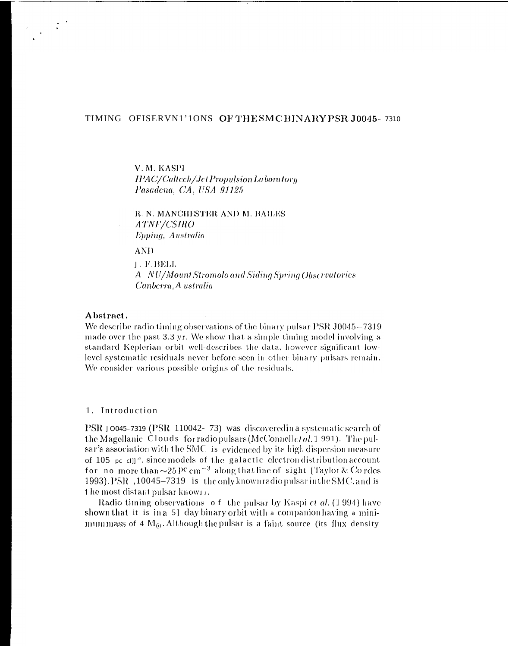# TIMING OFISERVN1'1ONS OF THE SMC BINARY PSR J0045-7310

V.M. KASPI **IPAC/Caltech/Jet Propulsion Laboratory** Pasadena, CA, USA 91125

**R. N. MANCHESTER AND M. BAILES** ATNF/CSIRO Epping, Australia

AND.

J. F.BELL A NU/Mount Stromolo and Siding Spring Observatories Canberra, A ustralia

### Abstract.

We describe radio timing observations of the binary pulsar PSR J0045–7319 made over the past 3.3 yr. We show that a simple timing model involving a standard Keplerian orbit well-describes the data, however significant lowlevel systematic residuals never before seen in other binary pulsars remain. We consider various possible origins of the residuals.

#### 1. Introduction

PSR J0045-7319 (PSR 110042-73) was discovered in a systematic search of the Magellanic Clouds for radio pulsars (McConnell *et al.* 1991). The pulsar's association with the SMC is evidenced by its high dispersion measure of 105 pc ell<sup>a</sup>, since models of the galactic electron distribution account for no more than  $\sim$ 25 PC cm<sup>-3</sup> along that line of sight (Taylor & Cordes 1993). PSR, 10045-7319 is the only known radio pulsar in the SMC, and is the most distant pulsar known.

Radio timing observations of the pulsar by Kaspi et al. (1994) have shown that it is in a 5] day binary orbit with a companion having a minimummass of 4  $M<sub>0</sub>$ . Although the pulsar is a faint source (its flux density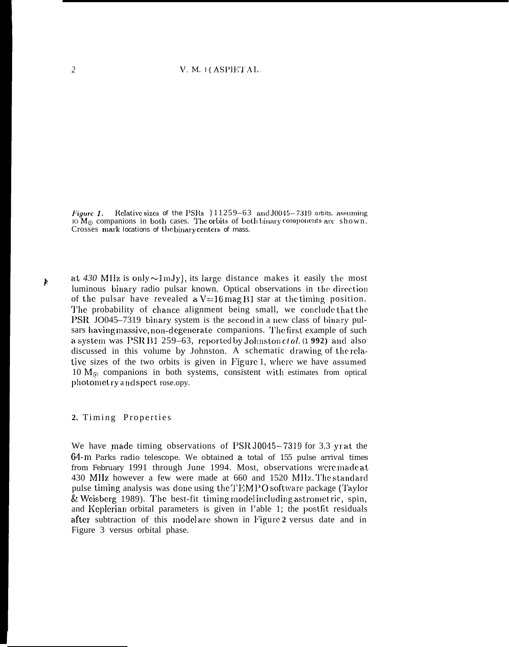Figure 1. Relative sizes of the PSRs  $\{11259-63 \text{ and } 30045-7319 \text{ orbits, assuming}$ IO  $M_{\odot}$  companions in both cases. The orbits of both binary components are shown. Crosses mark locations of the binary centers of mass.

*b* at  $430$  MHz is only  $\sim$ 1 mJy), its large distance makes it easily the most luminous binary radio pulsar known. Optical observations in the direction of the pulsar have revealed a  $V=16$  mag B1 star at the timing position. The probability of chance alignment being small, we conclude that the PSR JO045–7319 binary system is the second in a new class of binary pulsars having massive, non-d egenerate companions. The first example of such a system was PSR B1 259–63, reported by Johnston ctal. (1 992) and also discussed in this volume by Johnston. A schematic drawiag of the relative sizes of the two orbits is given in Figure 1, where we have assumed 10  $M_{\odot}$  companions in both systems, consistent with estimates from optical photomct ry a ad spcct rose.opy.

### 2. Timing Properties

We have made timing observations of PSR J0045-7319 for 3.3 yr at the 64-m Parks radio telescope. We obtained a total of 155 pulse arrival times from February 1991 through June 1994. Most, observations were made at 430 MHz however a few were made at 660 and 1520 MHz. The standard pulse timing analysis was done using the TEMPO software package (Taylor  $&$  Weisberg 1989). The best-fit timing model including astrometric, spin, and Keplerian orbital parameters is given in l'able 1; the postfit residuals after subtraction of this model are shown in l~igurc **2** versus date and in Figure 3 versus orbital phase.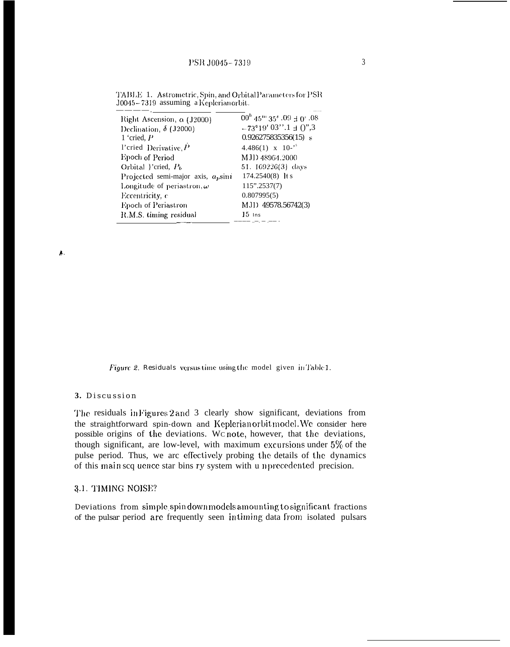| Right Ascension, a (J2000)                | $00^{\rm h}$ 45 <sup>m</sup> 35 <sup>s</sup> $.09 \pm 0^{\circ}$ .08 |
|-------------------------------------------|----------------------------------------------------------------------|
| Declination, $\delta$ (J2000)             | $-73^{\circ}19'$ 03".1 $\pm$ 0",3                                    |
| 1 'cried, $P$                             | $0.926275835356(15)$ s                                               |
| l'eried Derivative, $\overline{P}$        | $4.486(1)$ x 10- <sup>5</sup>                                        |
| Epoch of Period                           | MJD 48964.2000                                                       |
| Orbital }'cried, $P_b$                    | 51. 169226(3) days                                                   |
| Projected semi-major axis, $a_{\mu}$ sini | $174.2540(8)$ lt s                                                   |
| Longitude of periastron, $\omega$         | $115$ ".2537(7)                                                      |
| Eccentricity, c                           | 0.807995(5)                                                          |
| Epoch of Periastron                       | MJI) 49578.56742(3)                                                  |
| R.M.S. timing residual                    | $15$ ins                                                             |
|                                           |                                                                      |

TABLE 1. Astrometric, Spin, and Orbital Parameters for PSR J0045-7319 assuming a Keplerianorbit.

 $\lambda$ 

Figure 2. Residuals versus time using the model given in Table 1.

#### 3. Discussion

The residuals in Figures 2 and 3 clearly show significant, deviations from the straightforward spin-down and Keplerianorbit model. We consider here possible origins of the deviations. Wc note, however, that the deviations, though significant, are low-level, with maximum excursions under  $5\%$  of the pulse period. Thus, we arc effectively probing the details of the dynamics of this main scq uence star bins ry system with u nprecedented precision.

#### 3.1. TIMING NOISE?

Deviations from simple spin down models amounting to significant fractions of the pulsar period are frequently seen intiming data from isolated pulsars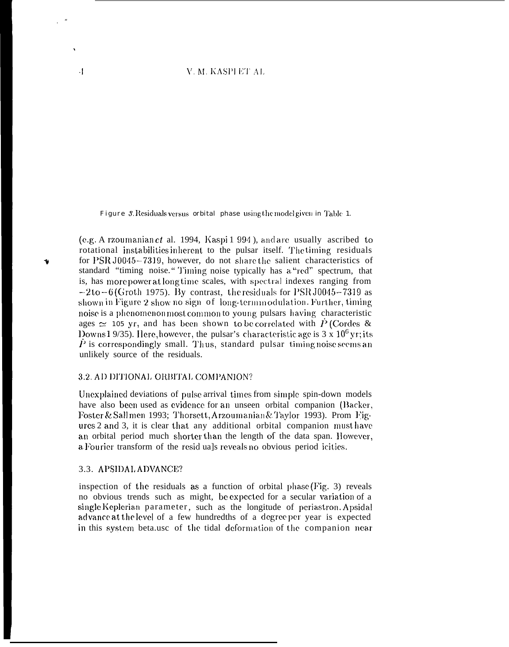### V. M. KASPI ET AL

Figure 3. Residuals versus orbital phase using the model given in Table 1.

(e.g. A rzoumanian  $et$  al. 1994, Kaspi 1 994), and are usually ascribed to rotational instabilities inherent to the pulsar itself. The timing residuals for PSR J0045-7319, however, do not share the salient characteristics of standard "timing noise." Timing noise typically has a "red" spectrum, that is, has more power at long time scales, with spectral indexes ranging from  $-2$  to  $-6$  (Groth 1975). By contrast, the residuals for PSR J0045-7319 as shown in Figure 2 show no sign of long-termmodulation. Further, timing noise is a phenomenon most common to young pulsars having characteristic ages  $\simeq$  105 yr, and has been shown to be correlated with  $\dot{P}$  (Cordes & Downs 19/35). Here, however, the pulsar's characteristic age is  $3 \times 10^6$  yr; its  $\dot{P}$  is correspondingly small. Thus, standard pulsar timing noise seems an unlikely source of the residuals.

#### 3.2. AD DITIONAL ORBITAL COMPANION?

Unexplained deviations of pulse arrival times from simple spin-down models have also been used as evidence for an unseen orbital companion (Backer, Foster & Sallmen 1993; Thorsett, Arzoumanian & Taylor 1993). Prom Figures 2 and 3, it is clear that any additional orbital companion must have an orbital period much shorter than the length of the data span. However, a Fourier transform of the residuals reveals no obvious period icities.

#### 3.3. APSIDAL ADVANCE?

 $\cdot$ 

inspection of the residuals as a function of orbital phase (Fig. 3) reveals no obvious trends such as might, be expected for a secular variation of a single Keplerian parameter, such as the longitude of periastron. Apsidal advance at the level of a few hundredths of a degree per year is expected in this system beta.usc of the tidal deformation of the companion near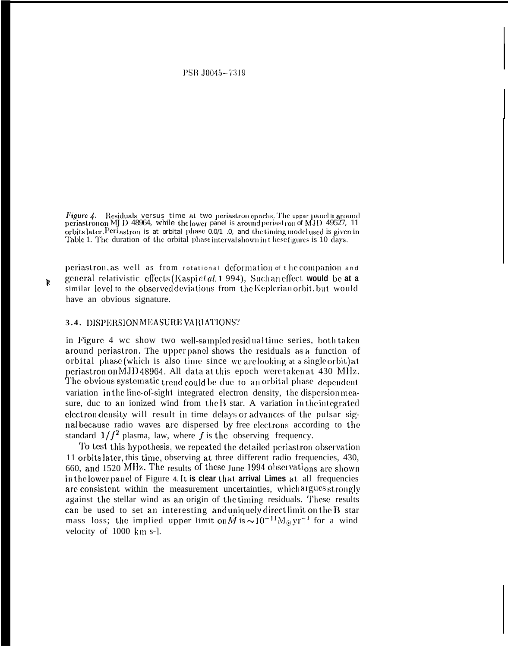PSR J0045--7319

Figure  $\Lambda$ . Residuals versus time at two periastron epochs. The upper panel is around periastron on MJ D 48964, while the lower panel is around periastron of MJD 49527, 11 orbits later. Periastron is at orbital phase  $0.0/1$  .0, and the timing model used is given in Table 1. The duration of the orbital phase interval shown in these figures is 10 days.

periastron, as well as from rotational deformation of the companion and general relativistic effects (Kaspi *et al.* **1** 994), Such an effect would be at a similar level to the observed deviations from the Keplerian orbit, but would have an obvious signature.

# 3.4. DISPERSION MEASURE VARIATIONS?

in Figure 4 wc show two well-sampled residual time series, both taken around periastron. The upper panel shows the residuals as a function of orbital phase (which is also time since we are looking at a single orbit) at periastron on MJD 48964. All data at this epoch were taken at 430 MHz. The obvious systematic trend could be due to an orbital-phase-dependent variation in the line-of-sight integrated electron density, the dispersion measure, duc to an ionized wind from the  $B$  star. A variation in the integrated clectron density will result in time delays or advances of the pulsar signal because radio waves are dispersed by free electrons according to the standard  $1/f^2$  plasma, law, where f is the observing frequency.

To test this hypothesis, we repeated the detailed periastron observation 11 orbits Iatcr, this time, observing at three different radio frequencies, 430, 660, and 1520 MHz. The results of these June 1994 observations are shown in the lower panel of Figure 4. It is clear that arrival Limes at all frequencies are consistent within the measurement uncertainties, which argues strongly against the stellar wind as an origin of the timing residuals. These results can be used to set an interesting and uniquely direct limit on the  $B$  star mass loss; the implied upper limit on  $\dot{M}$  is  $\sim 10^{-11} M_{\odot}$  yr<sup>-1</sup> for a wind velocity of 1000 km s-].

P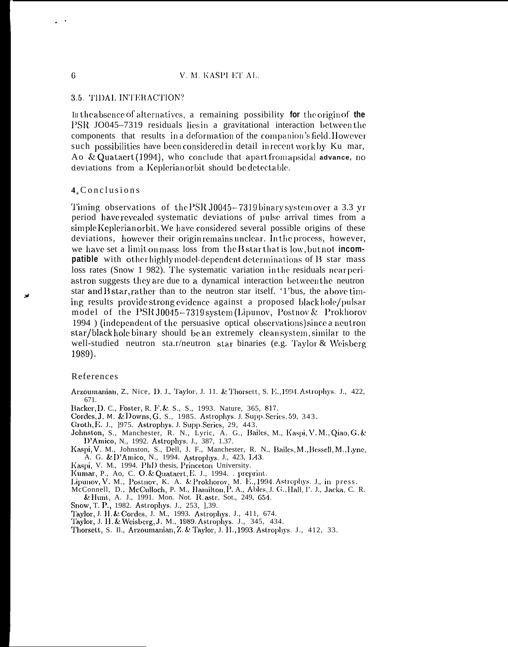# 3.5. TIDAL INTERACTION?

In the absence of alternatives, a remaining possibility for the origin of the PSR JO045-7319 residuals lies in a gravitational interaction between the components that results in a deformation of the companion's field. However such possibilities have been considered in detail in recent work by Ku mar, Ao & Quataert (1994), who conclude that apart from apsidal advance, no deviations from a Keplerian orbit should be detectable.

# 4. Conclusions

Timing observations of the PSR J0045-7319 binary system over a 3.3 yr period have revealed systematic deviations of pulse arrival times from a simple Keplerian orbit. We have considered several possible origins of these deviations, however their origin remains unclear. In the process, however, we have set a limit on mass loss from the  $B$  star that is low, but not **incompatible** with other highly model-dependent determinations of B star mass loss rates (Snow 1 982). The systematic variation in the residuals near periastron suggests they are due to a dynamical interaction between the neutron star and B star, rather than to the neutron star itself. '1'bus, the above timing results providestrong evidence against a proposed blackhole/pulsar model of the PSR J0045-7319 system (Lipunov, Postnov & Prokhorov 1994) (independent of the persuasive optical observations) since a neutron star/black hole binary should be an extremely clean system, similar to the well-studied neutron sta.r/neutron star binaries (e.g. Taylor & Weisberg 1989).

### References

- Arzoumanian, Z., Nice, D. J., Taylor, J. 11. & Thorsett, S. E., 1994. Astrophys. J., 422, 671
- Backer, D. C., Foster, R. F. & S., S., 1993. Nature, 365, 817.
- Cordes, J. M. & Downs, G. S., 1985. Astrophys. J. Supp. Series. 59, 343.
- Groth, E. J., 1975. Astrophys. J. Supp. Series, 29, 443.
- Johnston, S., Manchester, R. N., Lyric, A. G., Bailes, M., Kaspi, V. M., Qiao, G. & D'Amico, N., 1992. Astrophys. J., 387, 1.37.
- Kaspi, V. M., Johnston, S., Dell, J. F., Manchester, R. N., Bailes, M., Bessell, M., Lyne,<br>A. G. & D'Amico, N., 1994. Astrophys. J., 423, L43.<br>Kaspi, V. M., 1994. PhD thesis, Princeton University.
- 
- Kumar, P., Ao, C. O. & Quataert, E. J., 1994. . preprint.
- Lipunov, V. M., Postnov, K. A. & Prokhorov, M. E., 1994. Astrophys. J., in press.
- McConnell, D., McCulloch, P. M., Hamilton, P. A., Ables, J. G., Hall, I'. J., Jacka, C. R. & Hunt, A. J., 1991. Mon. Not. R. astr. Sot., 249, 654.<br>Snow, T. P., 1982. Astrophys. J., 253, 1,39.
- 
- Taylor, J. H. & Cordes, J. M., 1993. Astrophys. J., 411, 674.
- Taylor, J. H. & Weisberg, J. M., 1989. Astrophys. J., 345, 434.

6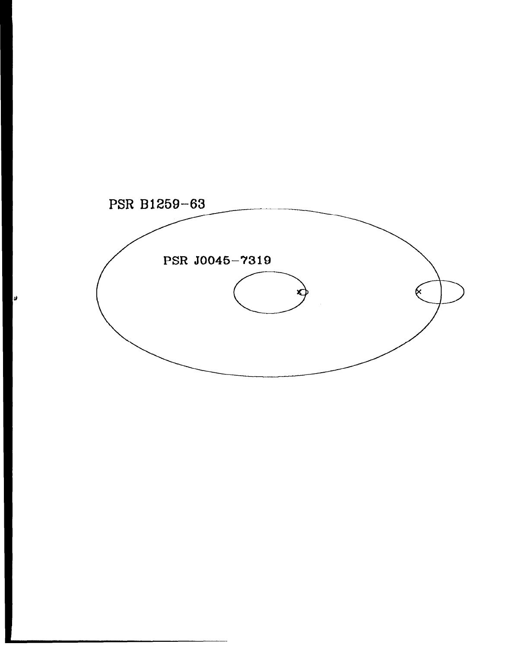

Ø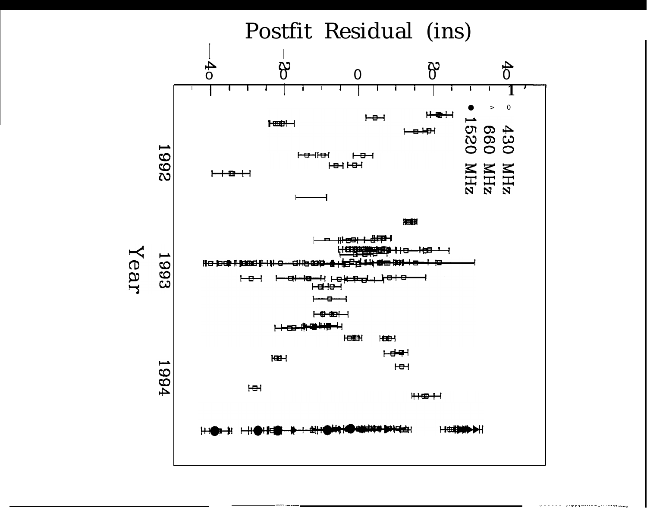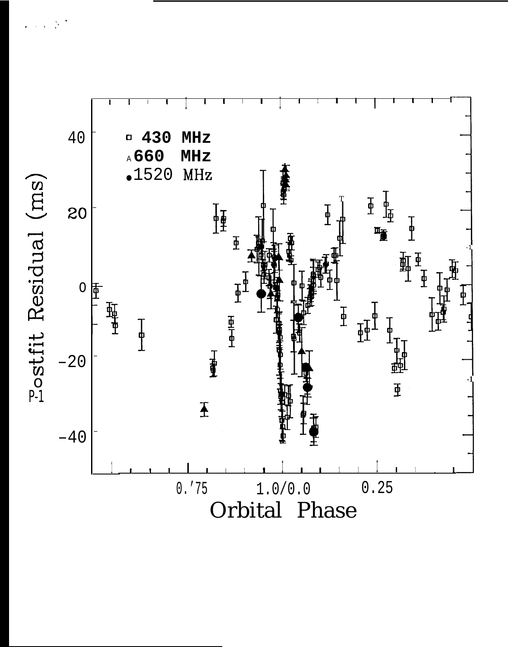